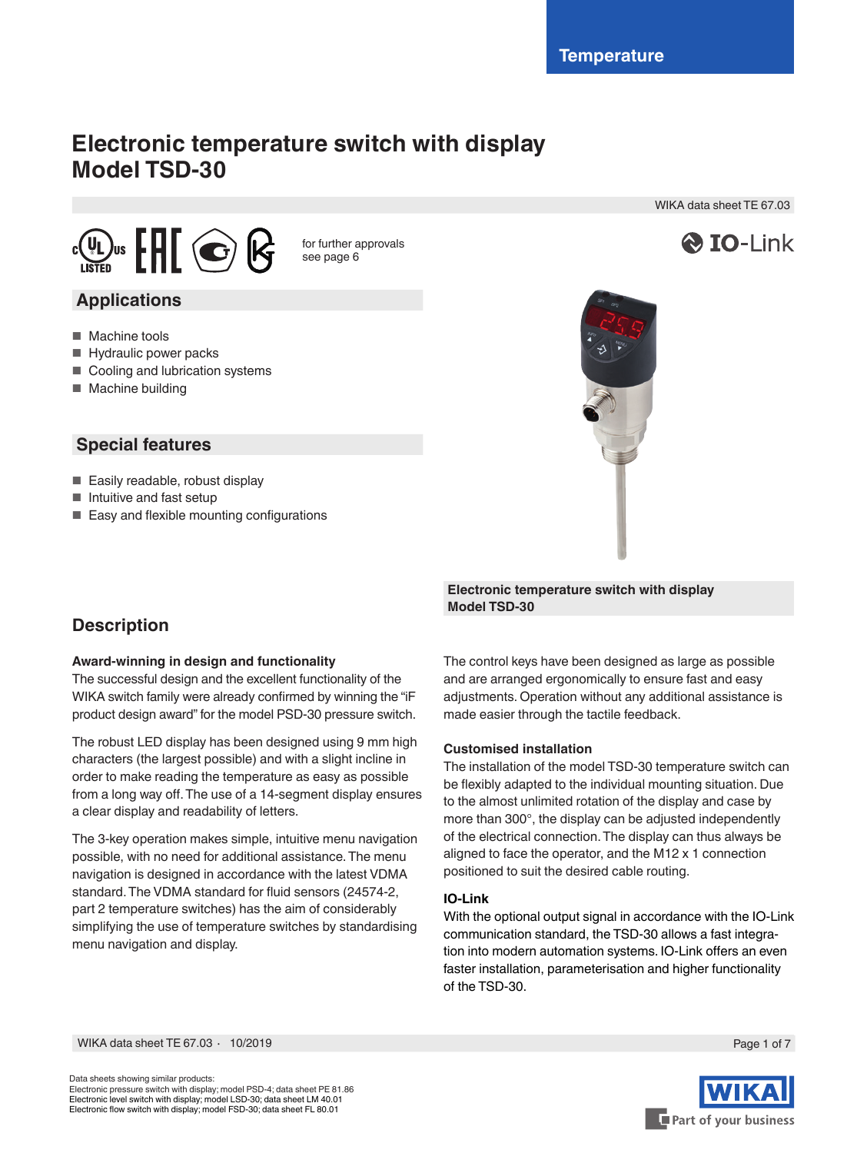WIKA data sheet TE 67.03

**& IO-Link** 

# **Electronic temperature switch with display Model TSD-30**



for further approvals see page 6

## **Applications**

- Machine tools
- Hydraulic power packs
- Cooling and lubrication systems
- Machine building

## **Special features**

- Easily readable, robust display
- Intuitive and fast setup
- Easy and flexible mounting configurations

## **Description**

### **Award-winning in design and functionality**

The successful design and the excellent functionality of the WIKA switch family were already confirmed by winning the "iF product design award" for the model PSD-30 pressure switch.

The robust LED display has been designed using 9 mm high characters (the largest possible) and with a slight incline in order to make reading the temperature as easy as possible from a long way off. The use of a 14-segment display ensures a clear display and readability of letters.

The 3-key operation makes simple, intuitive menu navigation possible, with no need for additional assistance. The menu navigation is designed in accordance with the latest VDMA standard. The VDMA standard for fluid sensors (24574-2, part 2 temperature switches) has the aim of considerably simplifying the use of temperature switches by standardising menu navigation and display.



### **Electronic temperature switch with display Model TSD-30**

The control keys have been designed as large as possible and are arranged ergonomically to ensure fast and easy adjustments. Operation without any additional assistance is made easier through the tactile feedback.

### **Customised installation**

The installation of the model TSD-30 temperature switch can be flexibly adapted to the individual mounting situation. Due to the almost unlimited rotation of the display and case by more than 300°, the display can be adjusted independently of the electrical connection. The display can thus always be aligned to face the operator, and the M12 x 1 connection positioned to suit the desired cable routing.

### **IO-Link**

With the optional output signal in accordance with the IO-Link communication standard, the TSD-30 allows a fast integration into modern automation systems. IO-Link offers an even faster installation, parameterisation and higher functionality of the TSD-30.

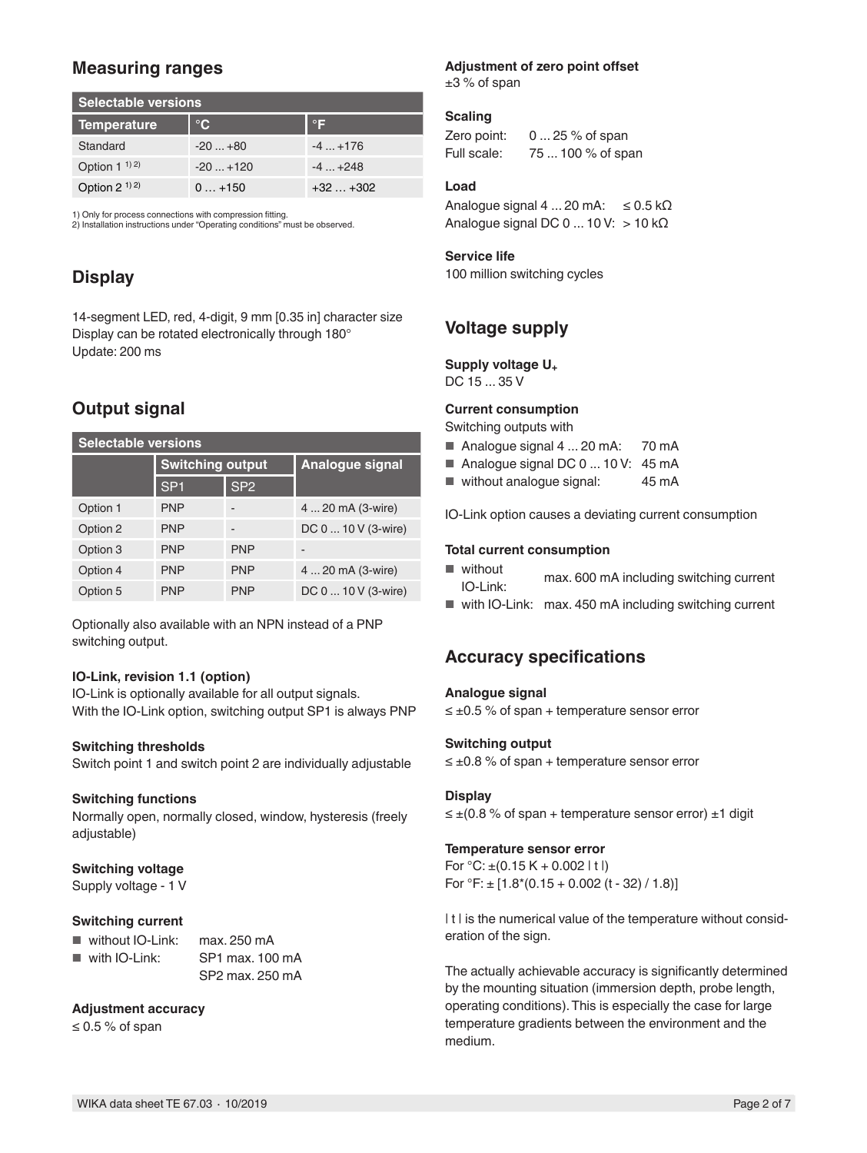## **Measuring ranges**

| <b>Selectable versions</b> |              |              |  |
|----------------------------|--------------|--------------|--|
| <b>Temperature</b>         | $^{\circ}$ C | $\mathsf{P}$ |  |
| Standard                   | $-20+80$     | $-4+176$     |  |
| Option $1^{1/2}$           | $-20+120$    | $-4$ $+248$  |  |
| Option $2^{(1)}$ 2)        | $0 + 150$    | $+32+302$    |  |

1) Only for process connections with compression fitting.

2) Installation instructions under "Operating conditions" must be observed.

## **Display**

14-segment LED, red, 4-digit, 9 mm [0.35 in] character size Display can be rotated electronically through 180° Update: 200 ms

## **Output signal**

| <b>Selectable versions</b> |                         |                 |                     |  |
|----------------------------|-------------------------|-----------------|---------------------|--|
|                            | <b>Switching output</b> |                 | Analogue signal     |  |
|                            | SP <sub>1</sub>         | SP <sub>2</sub> |                     |  |
| Option 1                   | <b>PNP</b>              |                 | 4  20 mA (3-wire)   |  |
| Option 2                   | <b>PNP</b>              |                 | DC 0  10 V (3-wire) |  |
| Option 3                   | <b>PNP</b>              | <b>PNP</b>      |                     |  |
| Option 4                   | <b>PNP</b>              | <b>PNP</b>      | 4  20 mA (3-wire)   |  |
| Option 5                   | <b>PNP</b>              | <b>PNP</b>      | DC 0  10 V (3-wire) |  |

Optionally also available with an NPN instead of a PNP switching output.

### **IO-Link, revision 1.1 (option)**

IO-Link is optionally available for all output signals. With the IO-Link option, switching output SP1 is always PNP

#### **Switching thresholds**

Switch point 1 and switch point 2 are individually adjustable

#### **Switching functions**

Normally open, normally closed, window, hysteresis (freely adjustable)

### **Switching voltage**

Supply voltage - 1 V

#### **Switching current**

- without IO-Link: max. 250 mA ■ with IO-Link: SP1 max. 100 mA
	- SP2 max. 250 mA

### **Adjustment accuracy**

≤ 0.5 % of span

## **Adjustment of zero point offset**

 $±3$  % of span

### **Scaling**

Zero point: 0 ... 25 % of span Full scale: 75 ... 100 % of span

### **Load**

Analogue signal  $4...20$  mA:  $\leq 0.5$  k $\Omega$ Analogue signal DC  $0 ... 10 V$ : > 10 k $\Omega$ 

### **Service life**

100 million switching cycles

## **Voltage supply**

### **Supply voltage U+**

DC 15 ... 35 V

### **Current consumption**

Switching outputs with

- Analogue signal 4 ... 20 mA: 70 mA
- Analogue signal DC 0 ... 10 V: 45 mA
- without analogue signal: 45 mA

IO-Link option causes a deviating current consumption

### **Total current consumption**

- without max. 600 mA including switching current<br>IO-Link:
- with IO-Link: max. 450 mA including switching current

## **Accuracy specifications**

#### **Analogue signal**

 $\leq \pm 0.5$  % of span + temperature sensor error

#### **Switching output**

≤ ±0.8 % of span + temperature sensor error

#### **Display**

 $\leq \pm (0.8 \% \text{ of span} + \text{temperature sensor error}) \pm 1 \text{ digit}$ 

#### **Temperature sensor error**

For  $°C: \pm (0.15 K + 0.002 | t)$ For  ${}^{\circ}$ F:  $\pm$  [1.8 $*$  (0.15 + 0.002 (t - 32) / 1.8)]

It I is the numerical value of the temperature without consideration of the sign.

The actually achievable accuracy is significantly determined by the mounting situation (immersion depth, probe length, operating conditions). This is especially the case for large temperature gradients between the environment and the medium.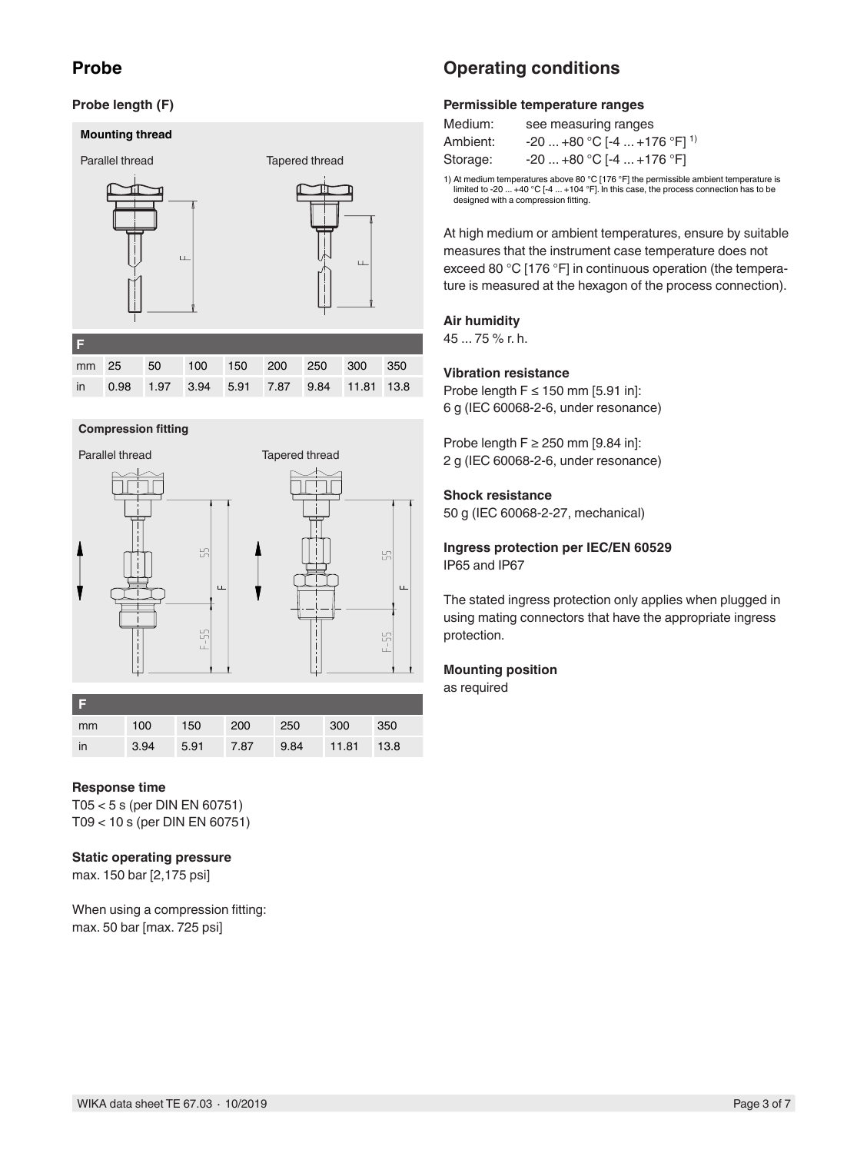## **Probe**

### **Probe length (F)**

#### **Mounting thread**



mm 25 50 100 150 200 250 300 350 in 0.98 1.97 3.94 5.91 7.87 9.84 11.81 13.8

#### **Compression fitting**



| mm | 100  | 150       | 200 | 250  | 300        | 350 |
|----|------|-----------|-----|------|------------|-----|
| in | 3.94 | 5.91 7.87 |     | 9.84 | 11.81 13.8 |     |

#### **Response time**

T05 < 5 s (per DIN EN 60751) T09 < 10 s (per DIN EN 60751)

#### **Static operating pressure**

max. 150 bar [2,175 psi]

When using a compression fitting: max. 50 bar [max. 725 psi]

## **Operating conditions**

#### **Permissible temperature ranges**

| Medium:  | see measuring ranges                    |
|----------|-----------------------------------------|
| Ambient: | -20  +80 °C [-4  +176 °F] <sup>1)</sup> |
| Storage: | $-20+80$ °C [-4  +176 °F]               |

1) At medium temperatures above 80 °C [176 °F] the permissible ambient temperature is limited to -20 ... +40 °C [-4 ... +104 °F]. In this case, the process connection has to be designed with a compression fitting.

At high medium or ambient temperatures, ensure by suitable measures that the instrument case temperature does not exceed 80 °C [176 °F] in continuous operation (the temperature is measured at the hexagon of the process connection).

#### **Air humidity**

45 ... 75 % r. h.

#### **Vibration resistance**

Probe length  $F \le 150$  mm [5.91 in]: 6 g (IEC 60068-2-6, under resonance)

Probe length  $F \ge 250$  mm [9.84 in]: 2 g (IEC 60068-2-6, under resonance)

#### **Shock resistance**

50 g (IEC 60068-2-27, mechanical)

**Ingress protection per IEC/EN 60529** IP65 and IP67

The stated ingress protection only applies when plugged in using mating connectors that have the appropriate ingress protection.

#### **Mounting position**

as required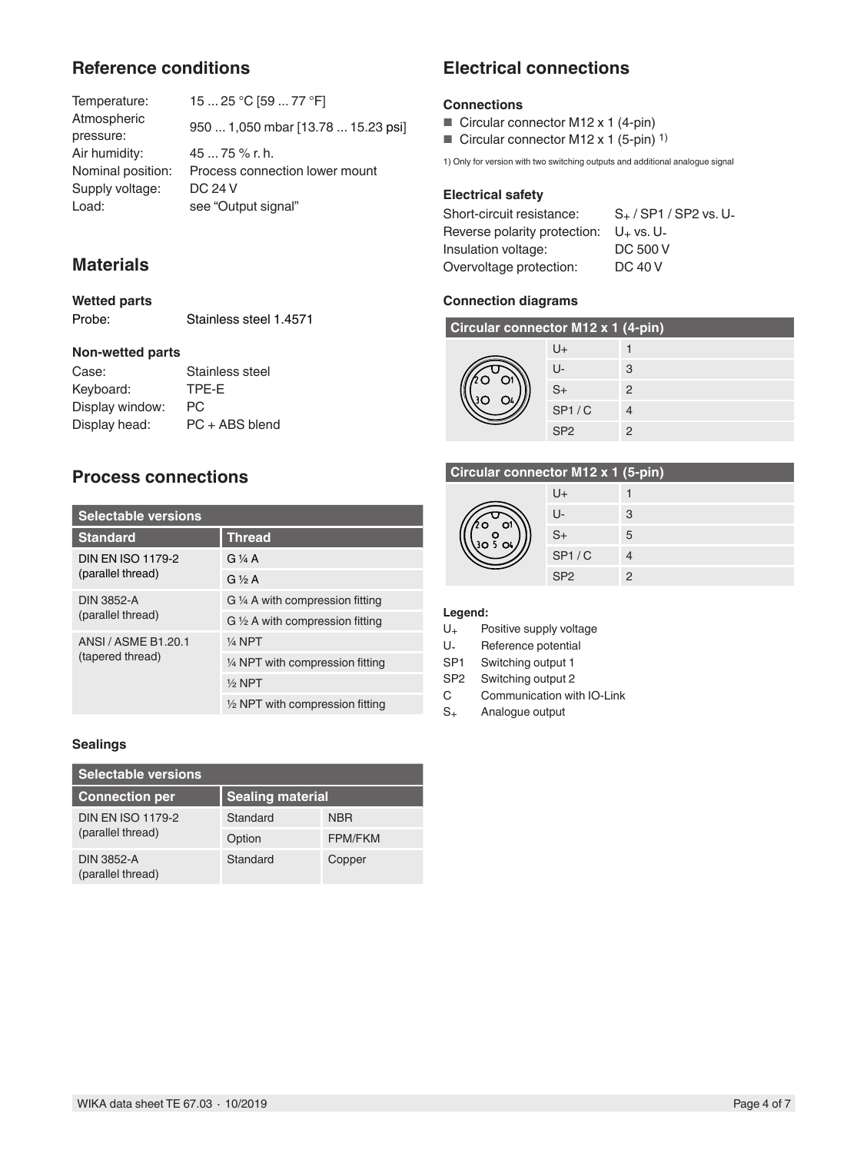## **Reference conditions**

| Temperature:      | 15  25 °C [59  77 °F]              |
|-------------------|------------------------------------|
| Atmospheric       | 950  1,050 mbar [13.78  15.23 psi] |
| pressure:         |                                    |
| Air humidity:     | $4575\%$ r. h.                     |
| Nominal position: | Process connection lower mount     |
| Supply voltage:   | DC 24 V                            |
| Load:             | see "Output signal"                |
|                   |                                    |

## **Materials**

**Wetted parts** Probe: Stainless steel 1.4571

### **Non-wetted parts**

| Stainless steel  |
|------------------|
| TPE-E            |
| PC.              |
| $PC + ABS$ blend |
|                  |

## **Process connections**

| <b>Selectable versions</b>              |                                            |  |  |
|-----------------------------------------|--------------------------------------------|--|--|
| <b>Standard</b>                         | <b>Thread</b>                              |  |  |
| <b>DIN EN ISO 1179-2</b>                | G $\frac{1}{4}$ A                          |  |  |
| (parallel thread)                       | $G \frac{1}{2} A$                          |  |  |
| <b>DIN 3852-A</b>                       | G 1/4 A with compression fitting           |  |  |
| (parallel thread)                       | $G \frac{1}{2} A$ with compression fitting |  |  |
| ANSI / ASME B1.20.1<br>(tapered thread) | $1/4$ NPT                                  |  |  |
|                                         | 1/4 NPT with compression fitting           |  |  |
|                                         | $1/2$ NPT                                  |  |  |
|                                         | $\frac{1}{2}$ NPT with compression fitting |  |  |

### **Sealings**

| <b>Selectable versions</b>                    |                         |                |  |
|-----------------------------------------------|-------------------------|----------------|--|
| <b>Connection per</b>                         | <b>Sealing material</b> |                |  |
| <b>DIN EN ISO 1179-2</b><br>(parallel thread) | Standard                | <b>NBR</b>     |  |
|                                               | Option                  | <b>FPM/FKM</b> |  |
| <b>DIN 3852-A</b><br>(parallel thread)        | Standard                | Copper         |  |

## **Electrical connections**

### **Connections**

- Circular connector M12 x 1 (4-pin)
- Circular connector M12 x 1 (5-pin) <sup>1)</sup>

1) Only for version with two switching outputs and additional analogue signal

### **Electrical safety**

Short-circuit resistance: S<sub>+</sub>/SP1/SP2 vs. U-Reverse polarity protection:  $U_+$  vs. U-<br>Insulation voltage: DC 500 V Insulation voltage: DC 500 V<br>Overvoltage protection: DC 40 V Overvoltage protection:

### **Connection diagrams**

| Circular connector M12 x 1 (4-pin) |                 |               |  |  |
|------------------------------------|-----------------|---------------|--|--|
|                                    | U+              |               |  |  |
|                                    | $U$ -           | 3             |  |  |
|                                    | $S+$            | 2             |  |  |
|                                    | SP1/C           |               |  |  |
|                                    | SP <sub>2</sub> | $\mathcal{P}$ |  |  |

### **Circular connector M12 x 1 (5-pin)**

|  | U+              |               |
|--|-----------------|---------------|
|  | IJ-             | 3             |
|  | $S+$            | 5             |
|  | SP1/C           |               |
|  | SP <sub>2</sub> | $\mathcal{D}$ |

#### **Legend:**

- U+ Positive supply voltage
- U- Reference potential<br>SP1 Switching output 1
- Switching output 1
- SP2 Switching output 2
- C Communication with IO-Link<br>S<sub>+</sub> Analogue output
- Analogue output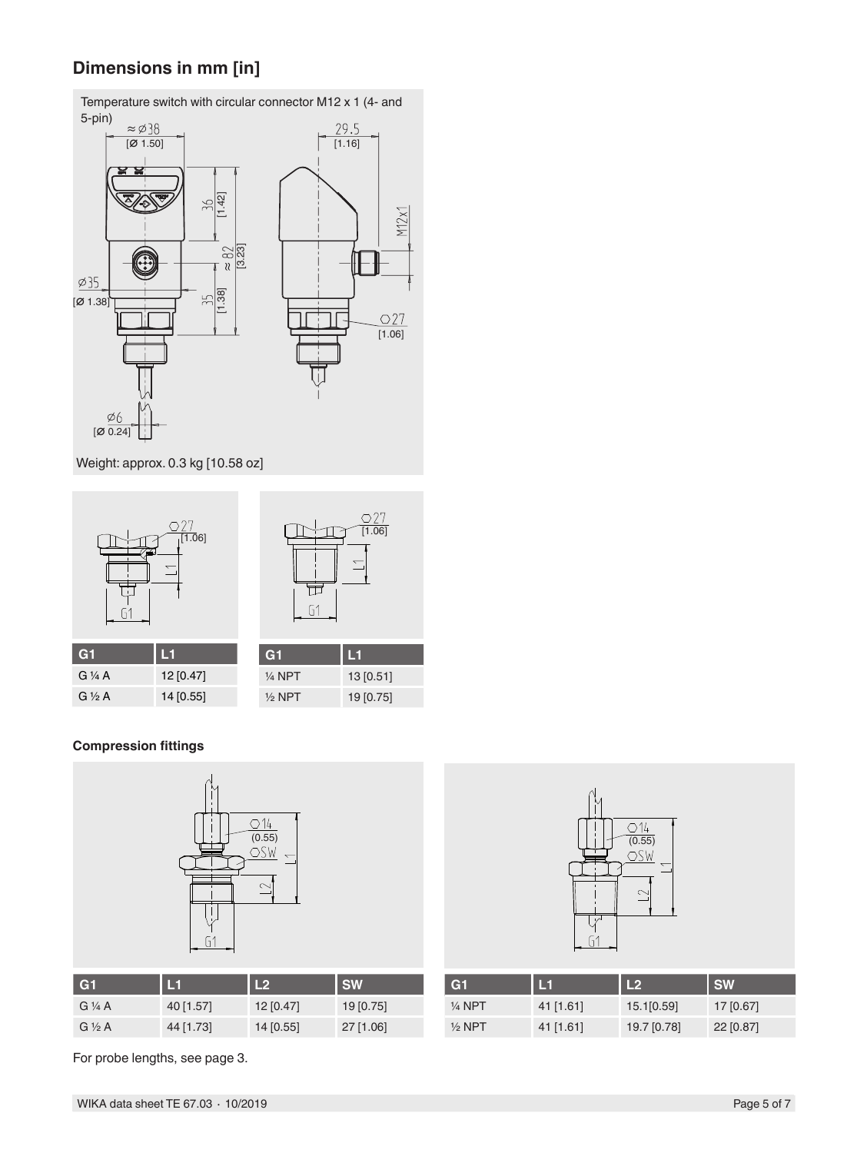## **Dimensions in mm [in]**



Temperature switch with circular connector M12 x 1 (4- and

Weight: approx. 0.3 kg [10.58 oz]



### **Compression fittings**



| G1                 | L1        | L2          | <b>SW</b>   |
|--------------------|-----------|-------------|-------------|
| $G\mathcal{V}_4$ A | 40 [1.57] | $12$ [0.47] | 19[0.75]    |
| $G \frac{1}{2} A$  | 44 [1.73] | $14$ [0.55] | $27$ [1.06] |



| G <sub>1</sub>    | L1          | L2          | <b>SW</b>   |
|-------------------|-------------|-------------|-------------|
| $\frac{1}{4}$ NPT | $41$ [1.61] | 15.1[0.59]  | 17 [0.67]   |
| $\frac{1}{2}$ NPT | $41$ [1.61] | 19.7 [0.78] | $22$ [0.87] |

For probe lengths, see page 3.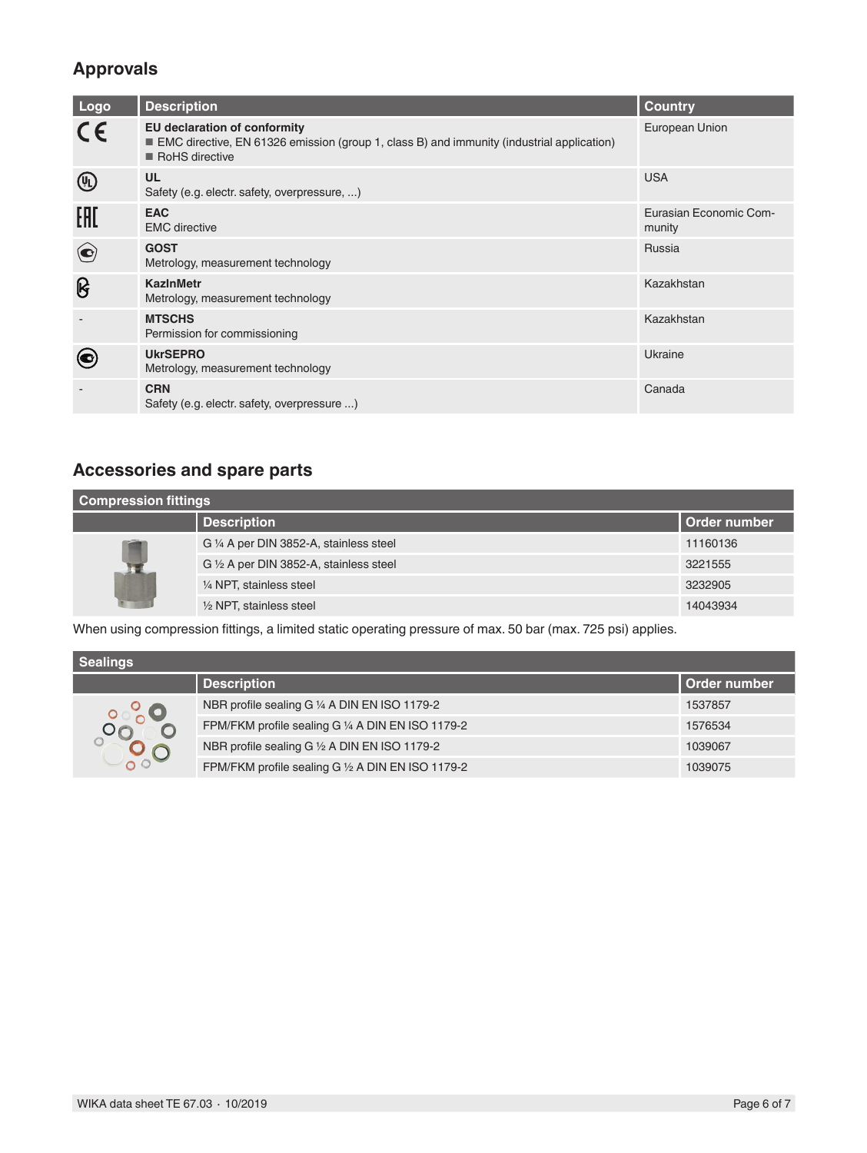## **Approvals**

| Logo                                                        | <b>Description</b>                                                                                                                                 | <b>Country</b>                   |
|-------------------------------------------------------------|----------------------------------------------------------------------------------------------------------------------------------------------------|----------------------------------|
| $C \in$                                                     | <b>EU declaration of conformity</b><br>EMC directive, EN 61326 emission (group 1, class B) and immunity (industrial application)<br>RoHS directive | European Union                   |
| $\left(\begin{smallmatrix} 0 \\ 1 \end{smallmatrix}\right)$ | <b>UL</b><br>Safety (e.g. electr. safety, overpressure, )                                                                                          | <b>USA</b>                       |
| EAD                                                         | <b>EAC</b><br><b>EMC</b> directive                                                                                                                 | Eurasian Economic Com-<br>munity |
| $\bigodot$                                                  | <b>GOST</b><br>Metrology, measurement technology                                                                                                   | Russia                           |
| ၆                                                           | <b>KazinMetr</b><br>Metrology, measurement technology                                                                                              | Kazakhstan                       |
|                                                             | <b>MTSCHS</b><br>Permission for commissioning                                                                                                      | Kazakhstan                       |
|                                                             | <b>UkrSEPRO</b><br>Metrology, measurement technology                                                                                               | Ukraine                          |
|                                                             | <b>CRN</b><br>Safety (e.g. electr. safety, overpressure )                                                                                          | Canada                           |

## **Accessories and spare parts**

| <b>Compression fittings</b> |                                         |                |  |  |  |
|-----------------------------|-----------------------------------------|----------------|--|--|--|
|                             | <b>Description</b>                      | l Order number |  |  |  |
|                             | G 1/4 A per DIN 3852-A, stainless steel | 11160136       |  |  |  |
|                             | G 1/2 A per DIN 3852-A, stainless steel | 3221555        |  |  |  |
|                             | 1/4 NPT, stainless steel                | 3232905        |  |  |  |
|                             | $\frac{1}{2}$ NPT, stainless steel      | 14043934       |  |  |  |

When using compression fittings, a limited static operating pressure of max. 50 bar (max. 725 psi) applies.

| <b>Sealings</b> |                                                   |              |  |  |  |
|-----------------|---------------------------------------------------|--------------|--|--|--|
|                 | <b>Description</b>                                | Order number |  |  |  |
|                 | NBR profile sealing G 1/4 A DIN EN ISO 1179-2     | 1537857      |  |  |  |
|                 | FPM/FKM profile sealing G 1/4 A DIN EN ISO 1179-2 | 1576534      |  |  |  |
|                 | NBR profile sealing G 1/2 A DIN EN ISO 1179-2     | 1039067      |  |  |  |
|                 | FPM/FKM profile sealing G 1/2 A DIN EN ISO 1179-2 | 1039075      |  |  |  |